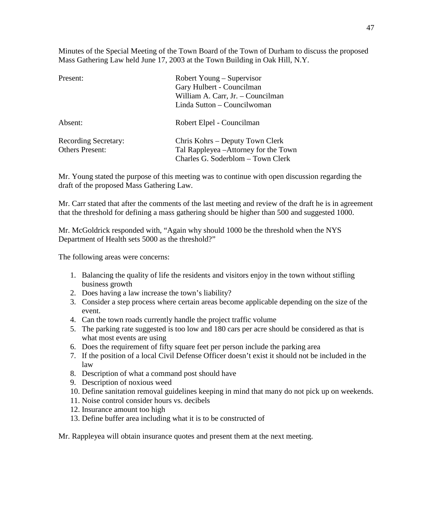Minutes of the Special Meeting of the Town Board of the Town of Durham to discuss the proposed Mass Gathering Law held June 17, 2003 at the Town Building in Oak Hill, N.Y.

| Present:                                              | Robert Young – Supervisor<br>Gary Hulbert - Councilman<br>William A. Carr, Jr. - Councilman<br>Linda Sutton – Councilwoman |
|-------------------------------------------------------|----------------------------------------------------------------------------------------------------------------------------|
| Absent:                                               | Robert Elpel - Councilman                                                                                                  |
| <b>Recording Secretary:</b><br><b>Others Present:</b> | Chris Kohrs – Deputy Town Clerk<br>Tal Rappleyea - Attorney for the Town<br>Charles G. Soderblom - Town Clerk              |

Mr. Young stated the purpose of this meeting was to continue with open discussion regarding the draft of the proposed Mass Gathering Law.

Mr. Carr stated that after the comments of the last meeting and review of the draft he is in agreement that the threshold for defining a mass gathering should be higher than 500 and suggested 1000.

Mr. McGoldrick responded with, "Again why should 1000 be the threshold when the NYS Department of Health sets 5000 as the threshold?"

The following areas were concerns:

- 1. Balancing the quality of life the residents and visitors enjoy in the town without stifling business growth
- 2. Does having a law increase the town's liability?
- 3. Consider a step process where certain areas become applicable depending on the size of the event.
- 4. Can the town roads currently handle the project traffic volume
- 5. The parking rate suggested is too low and 180 cars per acre should be considered as that is what most events are using
- 6. Does the requirement of fifty square feet per person include the parking area
- 7. If the position of a local Civil Defense Officer doesn't exist it should not be included in the law
- 8. Description of what a command post should have
- 9. Description of noxious weed
- 10. Define sanitation removal guidelines keeping in mind that many do not pick up on weekends.
- 11. Noise control consider hours vs. decibels
- 12. Insurance amount too high
- 13. Define buffer area including what it is to be constructed of

Mr. Rappleyea will obtain insurance quotes and present them at the next meeting.